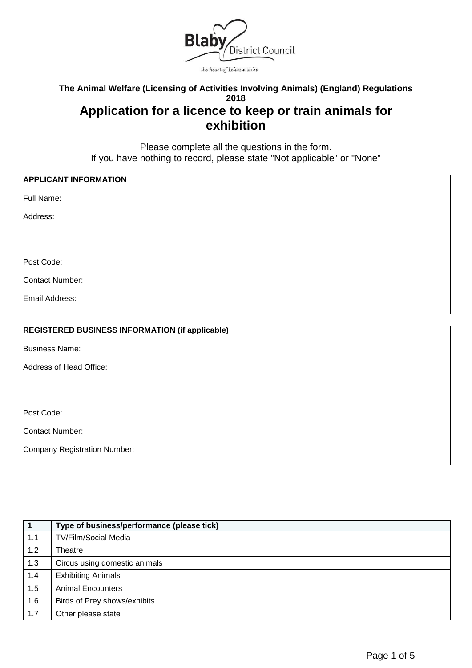

#### **The Animal Welfare (Licensing of Activities Involving Animals) (England) Regulations 2018**

# **Application for a licence to keep or train animals for exhibition**

Please complete all the questions in the form. If you have nothing to record, please state "Not applicable" or "None"

| <b>APPLICANT INFORMATION</b>                           |
|--------------------------------------------------------|
|                                                        |
| Full Name:                                             |
|                                                        |
| Address:                                               |
|                                                        |
|                                                        |
|                                                        |
|                                                        |
|                                                        |
| Post Code:                                             |
|                                                        |
| <b>Contact Number:</b>                                 |
|                                                        |
| Email Address:                                         |
|                                                        |
|                                                        |
|                                                        |
| <b>REGISTERED BUSINESS INFORMATION (if applicable)</b> |
|                                                        |
| <b>Business Name:</b>                                  |
|                                                        |
|                                                        |
| Address of Head Office:                                |
|                                                        |
|                                                        |
|                                                        |

Post Code:

Contact Number:

Company Registration Number:

|     | Type of business/performance (please tick) |  |
|-----|--------------------------------------------|--|
| 1.1 | <b>TV/Film/Social Media</b>                |  |
| 1.2 | Theatre                                    |  |
| 1.3 | Circus using domestic animals              |  |
| 1.4 | <b>Exhibiting Animals</b>                  |  |
| 1.5 | <b>Animal Encounters</b>                   |  |
| 1.6 | Birds of Prey shows/exhibits               |  |
| 1.7 | Other please state                         |  |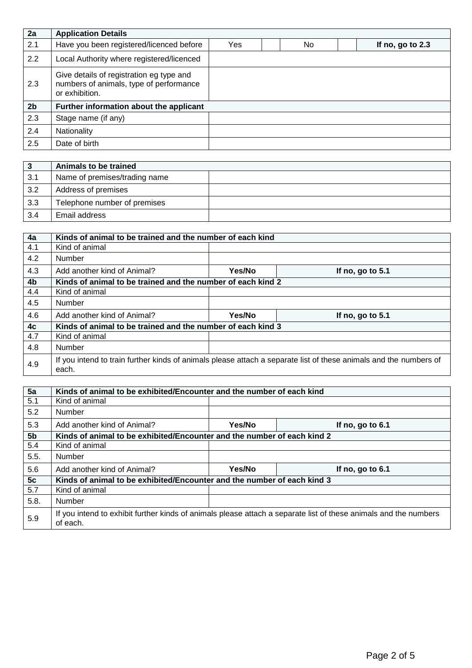| 2a             | <b>Application Details</b>                                                                            |     |     |                    |
|----------------|-------------------------------------------------------------------------------------------------------|-----|-----|--------------------|
| 2.1            | Have you been registered/licenced before                                                              | Yes | No. | If no, go to $2.3$ |
| 2.2            | Local Authority where registered/licenced                                                             |     |     |                    |
| 2.3            | Give details of registration eg type and<br>numbers of animals, type of performance<br>or exhibition. |     |     |                    |
| 2 <sub>b</sub> | Further information about the applicant                                                               |     |     |                    |
| 2.3            | Stage name (if any)                                                                                   |     |     |                    |
| 2.4            | <b>Nationality</b>                                                                                    |     |     |                    |
| $2.5\,$        | Date of birth                                                                                         |     |     |                    |

| -3  | Animals to be trained         |  |
|-----|-------------------------------|--|
| 3.1 | Name of premises/trading name |  |
| 3.2 | Address of premises           |  |
| 3.3 | Telephone number of premises  |  |
| 3.4 | Email address                 |  |

| 4a             | Kinds of animal to be trained and the number of each kind   |        |                                                                                                                   |  |  |
|----------------|-------------------------------------------------------------|--------|-------------------------------------------------------------------------------------------------------------------|--|--|
| 4.1            | Kind of animal                                              |        |                                                                                                                   |  |  |
| 4.2            | Number                                                      |        |                                                                                                                   |  |  |
| 4.3            | Add another kind of Animal?                                 | Yes/No | If no, go to 5.1                                                                                                  |  |  |
| 4 <sub>b</sub> | Kinds of animal to be trained and the number of each kind 2 |        |                                                                                                                   |  |  |
| 4.4            | Kind of animal                                              |        |                                                                                                                   |  |  |
| 4.5            | Number                                                      |        |                                                                                                                   |  |  |
| 4.6            | Add another kind of Animal?                                 | Yes/No | If no, go to 5.1                                                                                                  |  |  |
| 4 <sub>c</sub> | Kinds of animal to be trained and the number of each kind 3 |        |                                                                                                                   |  |  |
| 4.7            | Kind of animal                                              |        |                                                                                                                   |  |  |
| 4.8            | Number                                                      |        |                                                                                                                   |  |  |
| 4.9            | each.                                                       |        | If you intend to train further kinds of animals please attach a separate list of these animals and the numbers of |  |  |

| 5a             | Kinds of animal to be exhibited/Encounter and the number of each kind   |        |                                                                                                                  |  |  |
|----------------|-------------------------------------------------------------------------|--------|------------------------------------------------------------------------------------------------------------------|--|--|
| 5.1            | Kind of animal                                                          |        |                                                                                                                  |  |  |
| 5.2            | Number                                                                  |        |                                                                                                                  |  |  |
| 5.3            | Add another kind of Animal?                                             | Yes/No | If no, go to 6.1                                                                                                 |  |  |
| 5 <sub>b</sub> | Kinds of animal to be exhibited/Encounter and the number of each kind 2 |        |                                                                                                                  |  |  |
| 5.4            | Kind of animal                                                          |        |                                                                                                                  |  |  |
| 5.5.           | <b>Number</b>                                                           |        |                                                                                                                  |  |  |
| 5.6            | Add another kind of Animal?                                             | Yes/No | If no, go to 6.1                                                                                                 |  |  |
| 5c             | Kinds of animal to be exhibited/Encounter and the number of each kind 3 |        |                                                                                                                  |  |  |
| 5.7            | Kind of animal                                                          |        |                                                                                                                  |  |  |
| 5.8.           | <b>Number</b>                                                           |        |                                                                                                                  |  |  |
| 5.9            | of each.                                                                |        | If you intend to exhibit further kinds of animals please attach a separate list of these animals and the numbers |  |  |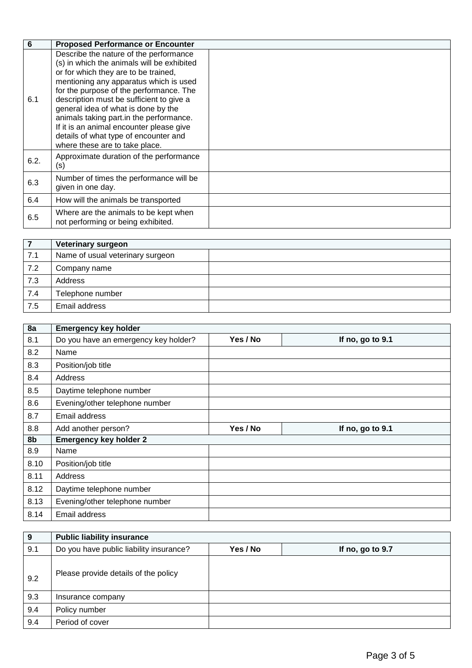| 6    | <b>Proposed Performance or Encounter</b>                                                                                                                                                                                                                                                                                                                                                                                                                               |  |
|------|------------------------------------------------------------------------------------------------------------------------------------------------------------------------------------------------------------------------------------------------------------------------------------------------------------------------------------------------------------------------------------------------------------------------------------------------------------------------|--|
| 6.1  | Describe the nature of the performance<br>(s) in which the animals will be exhibited<br>or for which they are to be trained,<br>mentioning any apparatus which is used<br>for the purpose of the performance. The<br>description must be sufficient to give a<br>general idea of what is done by the<br>animals taking part.in the performance.<br>If it is an animal encounter please give<br>details of what type of encounter and<br>where these are to take place. |  |
| 6.2. | Approximate duration of the performance<br>(s)                                                                                                                                                                                                                                                                                                                                                                                                                         |  |
| 6.3  | Number of times the performance will be<br>given in one day.                                                                                                                                                                                                                                                                                                                                                                                                           |  |
| 6.4  | How will the animals be transported                                                                                                                                                                                                                                                                                                                                                                                                                                    |  |
| 6.5  | Where are the animals to be kept when<br>not performing or being exhibited.                                                                                                                                                                                                                                                                                                                                                                                            |  |

|     | <b>Veterinary surgeon</b>        |  |
|-----|----------------------------------|--|
| 7.1 | Name of usual veterinary surgeon |  |
| 7.2 | Company name                     |  |
| 7.3 | Address                          |  |
| 7.4 | Telephone number                 |  |
| 7.5 | Email address                    |  |

| 8a   | <b>Emergency key holder</b>          |          |                  |
|------|--------------------------------------|----------|------------------|
| 8.1  | Do you have an emergency key holder? | Yes / No | If no, go to 9.1 |
| 8.2  | Name                                 |          |                  |
| 8.3  | Position/job title                   |          |                  |
| 8.4  | Address                              |          |                  |
| 8.5  | Daytime telephone number             |          |                  |
| 8.6  | Evening/other telephone number       |          |                  |
| 8.7  | Email address                        |          |                  |
|      |                                      |          |                  |
| 8.8  | Add another person?                  | Yes / No | If no, go to 9.1 |
| 8b   | <b>Emergency key holder 2</b>        |          |                  |
| 8.9  | Name                                 |          |                  |
| 8.10 | Position/job title                   |          |                  |
| 8.11 | Address                              |          |                  |
| 8.12 | Daytime telephone number             |          |                  |
| 8.13 | Evening/other telephone number       |          |                  |

| $\boldsymbol{9}$ | <b>Public liability insurance</b>       |          |                  |
|------------------|-----------------------------------------|----------|------------------|
| 9.1              | Do you have public liability insurance? | Yes / No | If no, go to 9.7 |
| 9.2              | Please provide details of the policy    |          |                  |
| 9.3              | Insurance company                       |          |                  |
| 9.4              | Policy number                           |          |                  |
| 9.4              | Period of cover                         |          |                  |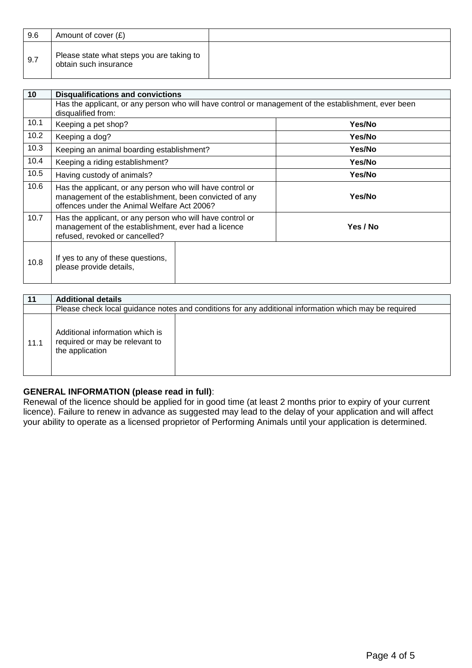| 9.6 | Amount of cover $(E)$                                              |  |
|-----|--------------------------------------------------------------------|--|
| 9.7 | Please state what steps you are taking to<br>obtain such insurance |  |

| 10   | <b>Disqualifications and convictions</b>                                                                                                                           |          |  |  |
|------|--------------------------------------------------------------------------------------------------------------------------------------------------------------------|----------|--|--|
|      | Has the applicant, or any person who will have control or management of the establishment, ever been<br>disqualified from:                                         |          |  |  |
| 10.1 | Keeping a pet shop?                                                                                                                                                | Yes/No   |  |  |
| 10.2 | Keeping a dog?                                                                                                                                                     | Yes/No   |  |  |
| 10.3 | Keeping an animal boarding establishment?                                                                                                                          | Yes/No   |  |  |
| 10.4 | Keeping a riding establishment?                                                                                                                                    | Yes/No   |  |  |
| 10.5 | Having custody of animals?                                                                                                                                         | Yes/No   |  |  |
| 10.6 | Has the applicant, or any person who will have control or<br>management of the establishment, been convicted of any<br>offences under the Animal Welfare Act 2006? | Yes/No   |  |  |
| 10.7 | Has the applicant, or any person who will have control or<br>management of the establishment, ever had a licence<br>refused, revoked or cancelled?                 | Yes / No |  |  |
| 10.8 | If yes to any of these questions,<br>please provide details,                                                                                                       |          |  |  |

| 11   | <b>Additional details</b>                                                                             |  |
|------|-------------------------------------------------------------------------------------------------------|--|
|      | Please check local guidance notes and conditions for any additional information which may be required |  |
| 11.1 | Additional information which is<br>required or may be relevant to<br>the application                  |  |

## **GENERAL INFORMATION (please read in full)**:

Renewal of the licence should be applied for in good time (at least 2 months prior to expiry of your current licence). Failure to renew in advance as suggested may lead to the delay of your application and will affect your ability to operate as a licensed proprietor of Performing Animals until your application is determined.